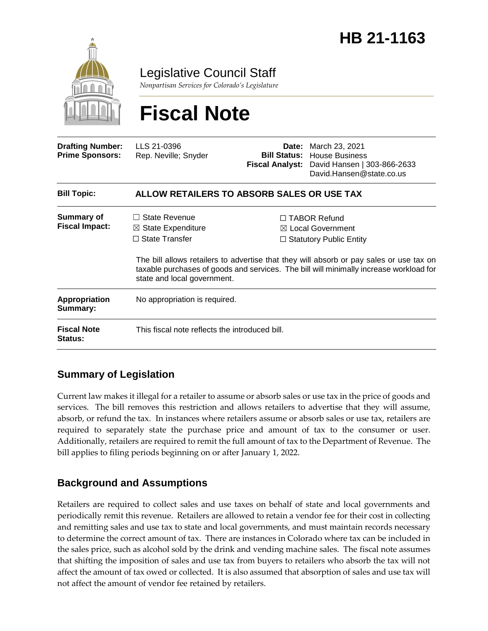

Legislative Council Staff

*Nonpartisan Services for Colorado's Legislature*

# **Fiscal Note**

| <b>Drafting Number:</b><br><b>Prime Sponsors:</b> | LLS 21-0396<br>Rep. Neville; Snyder                                                                               |  | <b>Date:</b> March 23, 2021<br><b>Bill Status:</b> House Business<br>Fiscal Analyst: David Hansen   303-866-2633<br>David.Hansen@state.co.us                                                                                                                               |  |
|---------------------------------------------------|-------------------------------------------------------------------------------------------------------------------|--|----------------------------------------------------------------------------------------------------------------------------------------------------------------------------------------------------------------------------------------------------------------------------|--|
| <b>Bill Topic:</b>                                | ALLOW RETAILERS TO ABSORB SALES OR USE TAX                                                                        |  |                                                                                                                                                                                                                                                                            |  |
| <b>Summary of</b><br><b>Fiscal Impact:</b>        | State Revenue<br>$\perp$<br>$\boxtimes$ State Expenditure<br>$\Box$ State Transfer<br>state and local government. |  | $\Box$ TABOR Refund<br>$\boxtimes$ Local Government<br>$\Box$ Statutory Public Entity<br>The bill allows retailers to advertise that they will absorb or pay sales or use tax on<br>taxable purchases of goods and services. The bill will minimally increase workload for |  |
| <b>Appropriation</b><br>Summary:                  | No appropriation is required.                                                                                     |  |                                                                                                                                                                                                                                                                            |  |
| <b>Fiscal Note</b><br><b>Status:</b>              | This fiscal note reflects the introduced bill.                                                                    |  |                                                                                                                                                                                                                                                                            |  |

# **Summary of Legislation**

Current law makes it illegal for a retailer to assume or absorb sales or use tax in the price of goods and services. The bill removes this restriction and allows retailers to advertise that they will assume, absorb, or refund the tax. In instances where retailers assume or absorb sales or use tax, retailers are required to separately state the purchase price and amount of tax to the consumer or user. Additionally, retailers are required to remit the full amount of tax to the Department of Revenue. The bill applies to filing periods beginning on or after January 1, 2022.

## **Background and Assumptions**

Retailers are required to collect sales and use taxes on behalf of state and local governments and periodically remit this revenue. Retailers are allowed to retain a vendor fee for their cost in collecting and remitting sales and use tax to state and local governments, and must maintain records necessary to determine the correct amount of tax. There are instances in Colorado where tax can be included in the sales price, such as alcohol sold by the drink and vending machine sales. The fiscal note assumes that shifting the imposition of sales and use tax from buyers to retailers who absorb the tax will not affect the amount of tax owed or collected. It is also assumed that absorption of sales and use tax will not affect the amount of vendor fee retained by retailers.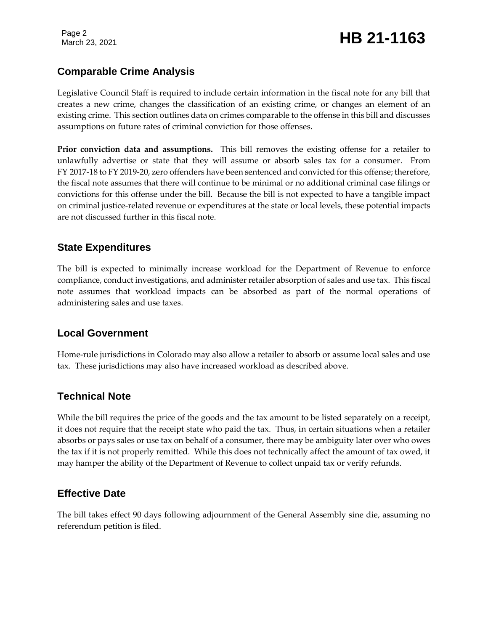# March 23, 2021 **HB 21-1163**

# **Comparable Crime Analysis**

Legislative Council Staff is required to include certain information in the fiscal note for any bill that creates a new crime, changes the classification of an existing crime, or changes an element of an existing crime. This section outlines data on crimes comparable to the offense in this bill and discusses assumptions on future rates of criminal conviction for those offenses.

**Prior conviction data and assumptions.** This bill removes the existing offense for a retailer to unlawfully advertise or state that they will assume or absorb sales tax for a consumer. From FY 2017-18 to FY 2019-20, zero offenders have been sentenced and convicted for this offense; therefore, the fiscal note assumes that there will continue to be minimal or no additional criminal case filings or convictions for this offense under the bill. Because the bill is not expected to have a tangible impact on criminal justice-related revenue or expenditures at the state or local levels, these potential impacts are not discussed further in this fiscal note.

#### **State Expenditures**

The bill is expected to minimally increase workload for the Department of Revenue to enforce compliance, conduct investigations, and administer retailer absorption of sales and use tax. This fiscal note assumes that workload impacts can be absorbed as part of the normal operations of administering sales and use taxes.

#### **Local Government**

Home-rule jurisdictions in Colorado may also allow a retailer to absorb or assume local sales and use tax. These jurisdictions may also have increased workload as described above.

## **Technical Note**

While the bill requires the price of the goods and the tax amount to be listed separately on a receipt, it does not require that the receipt state who paid the tax. Thus, in certain situations when a retailer absorbs or pays sales or use tax on behalf of a consumer, there may be ambiguity later over who owes the tax if it is not properly remitted. While this does not technically affect the amount of tax owed, it may hamper the ability of the Department of Revenue to collect unpaid tax or verify refunds.

## **Effective Date**

The bill takes effect 90 days following adjournment of the General Assembly sine die, assuming no referendum petition is filed.